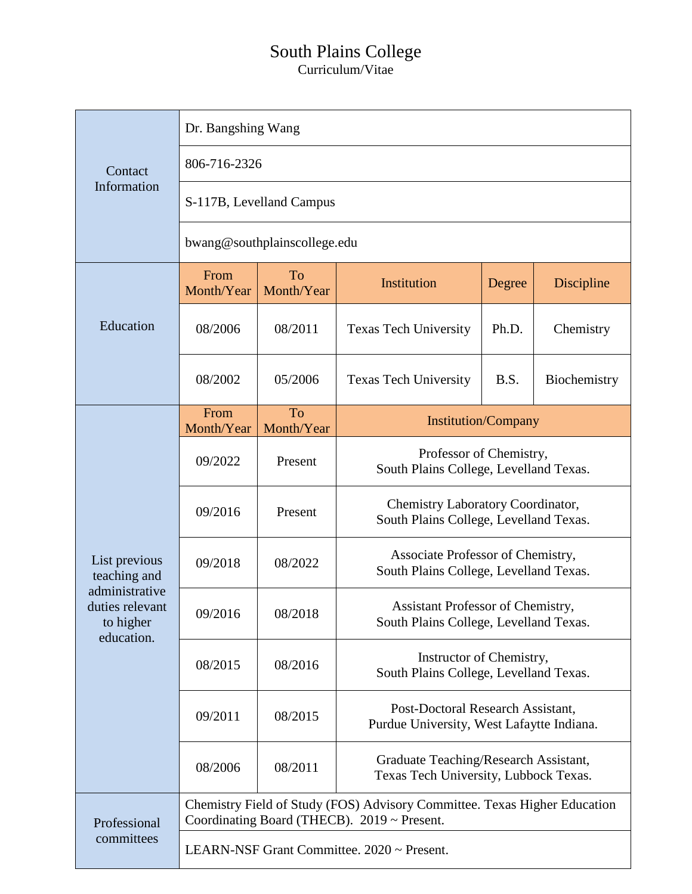## South Plains College

Curriculum/Vitae

| Contact<br>Information                                                                        | Dr. Bangshing Wang                                                                                                       |                  |                                                                                |        |                   |  |
|-----------------------------------------------------------------------------------------------|--------------------------------------------------------------------------------------------------------------------------|------------------|--------------------------------------------------------------------------------|--------|-------------------|--|
|                                                                                               | 806-716-2326                                                                                                             |                  |                                                                                |        |                   |  |
|                                                                                               | S-117B, Levelland Campus                                                                                                 |                  |                                                                                |        |                   |  |
|                                                                                               | bwang@southplainscollege.edu                                                                                             |                  |                                                                                |        |                   |  |
| Education                                                                                     | From<br>Month/Year                                                                                                       | To<br>Month/Year | Institution                                                                    | Degree | <b>Discipline</b> |  |
|                                                                                               | 08/2006                                                                                                                  | 08/2011          | <b>Texas Tech University</b>                                                   | Ph.D.  | Chemistry         |  |
|                                                                                               | 08/2002                                                                                                                  | 05/2006          | <b>Texas Tech University</b>                                                   | B.S.   | Biochemistry      |  |
| List previous<br>teaching and<br>administrative<br>duties relevant<br>to higher<br>education. | From<br>Month/Year                                                                                                       | To<br>Month/Year | <b>Institution/Company</b>                                                     |        |                   |  |
|                                                                                               | 09/2022                                                                                                                  | Present          | Professor of Chemistry,<br>South Plains College, Levelland Texas.              |        |                   |  |
|                                                                                               | 09/2016                                                                                                                  | Present          | Chemistry Laboratory Coordinator,<br>South Plains College, Levelland Texas.    |        |                   |  |
|                                                                                               | 09/2018                                                                                                                  | 08/2022          | Associate Professor of Chemistry,<br>South Plains College, Levelland Texas.    |        |                   |  |
|                                                                                               | 09/2016                                                                                                                  | 08/2018          | Assistant Professor of Chemistry,<br>South Plains College, Levelland Texas.    |        |                   |  |
|                                                                                               | 08/2015                                                                                                                  | 08/2016          | Instructor of Chemistry,<br>South Plains College, Levelland Texas.             |        |                   |  |
|                                                                                               | 09/2011                                                                                                                  | 08/2015          | Post-Doctoral Research Assistant,<br>Purdue University, West Lafaytte Indiana. |        |                   |  |
|                                                                                               | 08/2006                                                                                                                  | 08/2011          | Graduate Teaching/Research Assistant,<br>Texas Tech University, Lubbock Texas. |        |                   |  |
| Professional<br>committees                                                                    | Chemistry Field of Study (FOS) Advisory Committee. Texas Higher Education<br>Coordinating Board (THECB). 2019 ~ Present. |                  |                                                                                |        |                   |  |
|                                                                                               | LEARN-NSF Grant Committee. 2020 ~ Present.                                                                               |                  |                                                                                |        |                   |  |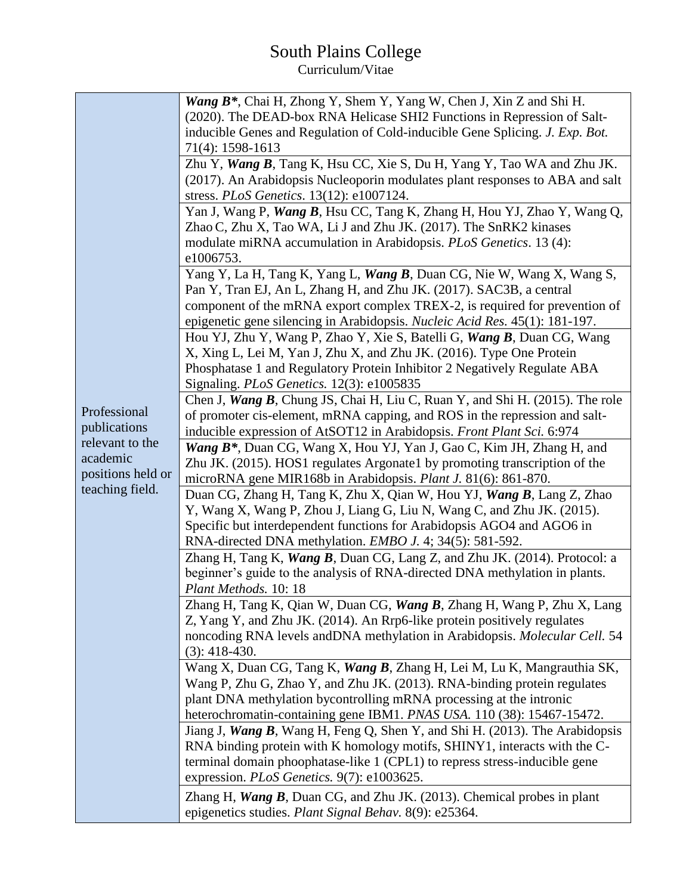## South Plains College Curriculum/Vitae

|                   | Wang B <sup>*</sup> , Chai H, Zhong Y, Shem Y, Yang W, Chen J, Xin Z and Shi H.                                                                |  |  |  |  |
|-------------------|------------------------------------------------------------------------------------------------------------------------------------------------|--|--|--|--|
|                   | (2020). The DEAD-box RNA Helicase SHI2 Functions in Repression of Salt-                                                                        |  |  |  |  |
|                   | inducible Genes and Regulation of Cold-inducible Gene Splicing. J. Exp. Bot.                                                                   |  |  |  |  |
|                   | 71(4): 1598-1613                                                                                                                               |  |  |  |  |
|                   | Zhu Y, Wang B, Tang K, Hsu CC, Xie S, Du H, Yang Y, Tao WA and Zhu JK.                                                                         |  |  |  |  |
|                   | (2017). An Arabidopsis Nucleoporin modulates plant responses to ABA and salt                                                                   |  |  |  |  |
|                   | stress. PLoS Genetics. 13(12): e1007124.                                                                                                       |  |  |  |  |
|                   | Yan J, Wang P, Wang B, Hsu CC, Tang K, Zhang H, Hou YJ, Zhao Y, Wang Q,                                                                        |  |  |  |  |
|                   | Zhao C, Zhu X, Tao WA, Li J and Zhu JK. (2017). The SnRK2 kinases                                                                              |  |  |  |  |
|                   | modulate miRNA accumulation in Arabidopsis. PLoS Genetics. 13 (4):                                                                             |  |  |  |  |
|                   | e1006753.                                                                                                                                      |  |  |  |  |
|                   | Yang Y, La H, Tang K, Yang L, Wang B, Duan CG, Nie W, Wang X, Wang S,                                                                          |  |  |  |  |
|                   | Pan Y, Tran EJ, An L, Zhang H, and Zhu JK. (2017). SAC3B, a central                                                                            |  |  |  |  |
|                   | component of the mRNA export complex TREX-2, is required for prevention of                                                                     |  |  |  |  |
|                   | epigenetic gene silencing in Arabidopsis. Nucleic Acid Res. 45(1): 181-197.                                                                    |  |  |  |  |
|                   | Hou YJ, Zhu Y, Wang P, Zhao Y, Xie S, Batelli G, Wang B, Duan CG, Wang<br>X, Xing L, Lei M, Yan J, Zhu X, and Zhu JK. (2016). Type One Protein |  |  |  |  |
|                   | Phosphatase 1 and Regulatory Protein Inhibitor 2 Negatively Regulate ABA                                                                       |  |  |  |  |
|                   | Signaling. PLoS Genetics. 12(3): e1005835                                                                                                      |  |  |  |  |
|                   | Chen J, Wang B, Chung JS, Chai H, Liu C, Ruan Y, and Shi H. (2015). The role                                                                   |  |  |  |  |
| Professional      | of promoter cis-element, mRNA capping, and ROS in the repression and salt-                                                                     |  |  |  |  |
| publications      | inducible expression of AtSOT12 in Arabidopsis. Front Plant Sci. 6:974                                                                         |  |  |  |  |
| relevant to the   | Wang B <sup>*</sup> , Duan CG, Wang X, Hou YJ, Yan J, Gao C, Kim JH, Zhang H, and                                                              |  |  |  |  |
| academic          | Zhu JK. (2015). HOS1 regulates Argonate1 by promoting transcription of the                                                                     |  |  |  |  |
| positions held or | microRNA gene MIR168b in Arabidopsis. Plant J. 81(6): 861-870.                                                                                 |  |  |  |  |
| teaching field.   | Duan CG, Zhang H, Tang K, Zhu X, Qian W, Hou YJ, Wang B, Lang Z, Zhao                                                                          |  |  |  |  |
|                   | Y, Wang X, Wang P, Zhou J, Liang G, Liu N, Wang C, and Zhu JK. (2015).                                                                         |  |  |  |  |
|                   | Specific but interdependent functions for Arabidopsis AGO4 and AGO6 in                                                                         |  |  |  |  |
|                   | RNA-directed DNA methylation. <i>EMBO J.</i> 4; 34(5): 581-592.                                                                                |  |  |  |  |
|                   | Zhang H, Tang K, Wang B, Duan CG, Lang Z, and Zhu JK. (2014). Protocol: a                                                                      |  |  |  |  |
|                   | beginner's guide to the analysis of RNA-directed DNA methylation in plants.                                                                    |  |  |  |  |
|                   | Plant Methods. 10: 18                                                                                                                          |  |  |  |  |
|                   | Zhang H, Tang K, Qian W, Duan CG, Wang B, Zhang H, Wang P, Zhu X, Lang                                                                         |  |  |  |  |
|                   | Z, Yang Y, and Zhu JK. (2014). An Rrp6-like protein positively regulates                                                                       |  |  |  |  |
|                   | noncoding RNA levels and DNA methylation in Arabidopsis. Molecular Cell. 54                                                                    |  |  |  |  |
|                   | $(3): 418-430.$<br>Wang X, Duan CG, Tang K, Wang B, Zhang H, Lei M, Lu K, Mangrauthia SK,                                                      |  |  |  |  |
|                   | Wang P, Zhu G, Zhao Y, and Zhu JK. (2013). RNA-binding protein regulates                                                                       |  |  |  |  |
|                   | plant DNA methylation bycontrolling mRNA processing at the intronic                                                                            |  |  |  |  |
|                   | heterochromatin-containing gene IBM1. PNAS USA. 110 (38): 15467-15472.                                                                         |  |  |  |  |
|                   | Jiang J, Wang B, Wang H, Feng Q, Shen Y, and Shi H. (2013). The Arabidopsis                                                                    |  |  |  |  |
|                   | RNA binding protein with K homology motifs, SHINY1, interacts with the C-                                                                      |  |  |  |  |
|                   | terminal domain phoophatase-like 1 (CPL1) to repress stress-inducible gene                                                                     |  |  |  |  |
|                   | expression. PLoS Genetics. 9(7): e1003625.                                                                                                     |  |  |  |  |
|                   | Zhang H, <i>Wang B</i> , Duan CG, and Zhu JK. $(2013)$ . Chemical probes in plant                                                              |  |  |  |  |
|                   | epigenetics studies. Plant Signal Behav. 8(9): e25364.                                                                                         |  |  |  |  |
|                   |                                                                                                                                                |  |  |  |  |